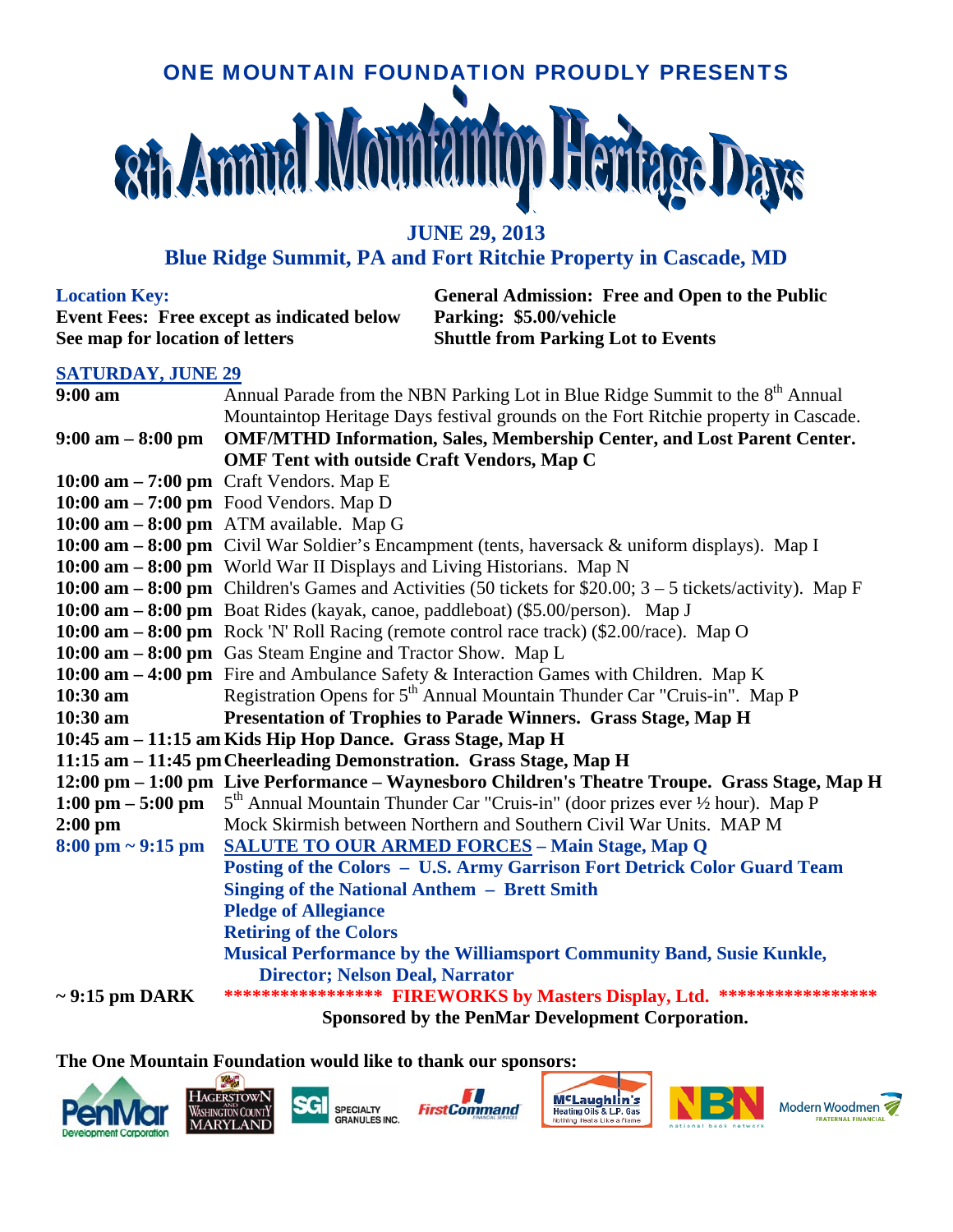## ONE MOUNTAIN FOUNDATION PROUDLY PRESENTS **Rth Ammual Mou**

**JUNE 29, 2013** 

## **Blue Ridge Summit, PA and Fort Ritchie Property in Cascade, MD**

**Event Fees: Free except as indicated below Parking: \$5.00/vehicle See map for location of letters Shuttle from Parking Lot to Events** 

**Location Key: General Admission: Free and Open to the Public** 

## **SATURDAY, JUNE 29**

| $9:00$ am                                                          | Annual Parade from the NBN Parking Lot in Blue Ridge Summit to the 8 <sup>th</sup> Annual                                   |  |
|--------------------------------------------------------------------|-----------------------------------------------------------------------------------------------------------------------------|--|
|                                                                    | Mountaintop Heritage Days festival grounds on the Fort Ritchie property in Cascade.                                         |  |
| $9:00 \text{ am} - 8:00 \text{ pm}$                                | <b>OMF/MTHD Information, Sales, Membership Center, and Lost Parent Center.</b>                                              |  |
|                                                                    | <b>OMF Tent with outside Craft Vendors, Map C</b>                                                                           |  |
|                                                                    | $10:00$ am $-7:00$ pm Craft Vendors. Map E                                                                                  |  |
|                                                                    | $10:00$ am $-7:00$ pm Food Vendors. Map D                                                                                   |  |
|                                                                    | $10:00$ am $-8:00$ pm ATM available. Map G                                                                                  |  |
|                                                                    | 10:00 am - 8:00 pm Civil War Soldier's Encampment (tents, haversack & uniform displays). Map I                              |  |
|                                                                    | 10:00 am - 8:00 pm World War II Displays and Living Historians. Map N                                                       |  |
|                                                                    | 10:00 am $-8:00$ pm Children's Games and Activities (50 tickets for \$20.00; $3-5$ tickets/activity). Map F                 |  |
|                                                                    | 10:00 am – 8:00 pm Boat Rides (kayak, canoe, paddleboat) (\$5.00/person). Map J                                             |  |
|                                                                    | 10:00 am - 8:00 pm Rock 'N' Roll Racing (remote control race track) (\$2.00/race). Map O                                    |  |
|                                                                    | 10:00 $am - 8:00$ pm Gas Steam Engine and Tractor Show. Map L                                                               |  |
|                                                                    | 10:00 am - 4:00 pm Fire and Ambulance Safety & Interaction Games with Children. Map K                                       |  |
| $10:30$ am                                                         | Registration Opens for 5 <sup>th</sup> Annual Mountain Thunder Car "Cruis-in". Map P                                        |  |
| $10:30$ am                                                         | Presentation of Trophies to Parade Winners. Grass Stage, Map H                                                              |  |
|                                                                    | 10:45 am - 11:15 am Kids Hip Hop Dance. Grass Stage, Map H                                                                  |  |
| 11:15 am - 11:45 pm Cheerleading Demonstration. Grass Stage, Map H |                                                                                                                             |  |
|                                                                    | 12:00 pm - 1:00 pm Live Performance - Waynesboro Children's Theatre Troupe. Grass Stage, Map H                              |  |
|                                                                    | 1:00 pm – 5:00 pm – $5^{th}$ Annual Mountain Thunder Car "Cruis-in" (door prizes ever $\frac{1}{2}$ hour). Map P            |  |
| $2:00$ pm                                                          | Mock Skirmish between Northern and Southern Civil War Units. MAP M                                                          |  |
|                                                                    | 8:00 pm ~ 9:15 pm SALUTE TO OUR ARMED FORCES - Main Stage, Map Q                                                            |  |
|                                                                    | Posting of the Colors - U.S. Army Garrison Fort Detrick Color Guard Team                                                    |  |
|                                                                    | <b>Singing of the National Anthem - Brett Smith</b>                                                                         |  |
|                                                                    | <b>Pledge of Allegiance</b>                                                                                                 |  |
|                                                                    | <b>Retiring of the Colors</b>                                                                                               |  |
|                                                                    |                                                                                                                             |  |
|                                                                    | Musical Performance by the Williamsport Community Band, Susie Kunkle,                                                       |  |
|                                                                    | <b>Director; Nelson Deal, Narrator</b>                                                                                      |  |
| $\sim$ 9:15 pm DARK                                                | ***************** FIREWORKS by Masters Display, Ltd. ******************<br>Sponsored by the PenMar Development Corporation. |  |

**The One Mountain Foundation would like to thank our sponsors:** 





**SPECIALTY** GRANULES INC.